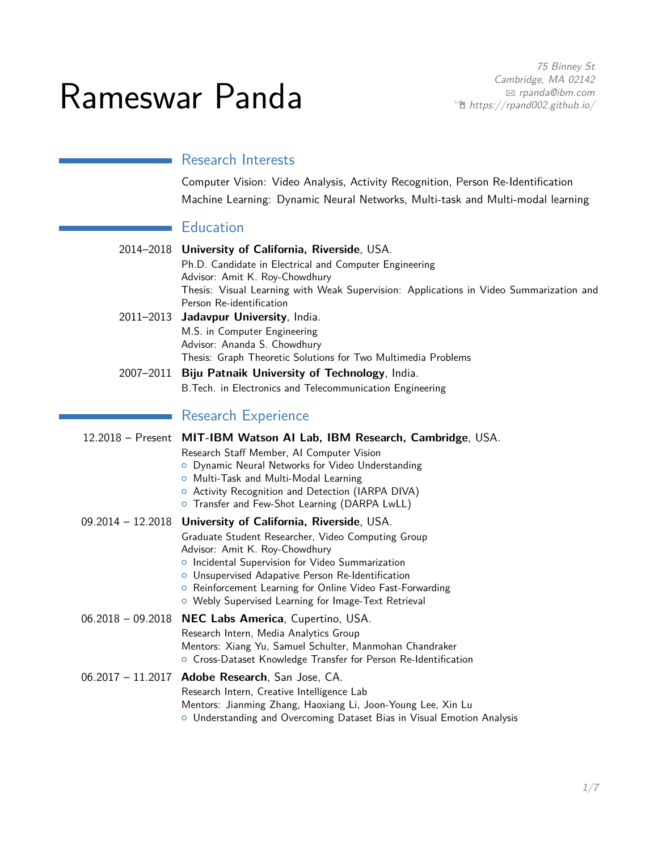75 Binney St Cambridge, MA 02142 B [rpanda@ibm.com](mailto:rpanda@ibm.com)  $\hat{\mathbb{E}}$  [https://rpand002.github.io/](http://rpand002.github.io/)

# Rameswar Panda

## Research Interests

Computer Vision: Video Analysis, Activity Recognition, Person Re-Identification Machine Learning: Dynamic Neural Networks, Multi-task and Multi-modal learning

## **Education**

|                     | 2014-2018 University of California, Riverside, USA.                                           |
|---------------------|-----------------------------------------------------------------------------------------------|
|                     | Ph.D. Candidate in Electrical and Computer Engineering                                        |
|                     | Advisor: Amit K. Roy-Chowdhury                                                                |
|                     | Thesis: Visual Learning with Weak Supervision: Applications in Video Summarization and        |
|                     | Person Re-identification                                                                      |
| 2011-2013           | Jadavpur University, India.                                                                   |
|                     | M.S. in Computer Engineering                                                                  |
|                     | Advisor: Ananda S. Chowdhury<br>Thesis: Graph Theoretic Solutions for Two Multimedia Problems |
|                     |                                                                                               |
|                     | 2007-2011 Biju Patnaik University of Technology, India.                                       |
|                     | B. Tech. in Electronics and Telecommunication Engineering                                     |
|                     | <b>Research Experience</b>                                                                    |
|                     |                                                                                               |
|                     | 12.2018 - Present MIT-IBM Watson AI Lab, IBM Research, Cambridge, USA.                        |
|                     | Research Staff Member, AI Computer Vision                                                     |
|                     | o Dynamic Neural Networks for Video Understanding<br>O Multi-Task and Multi-Modal Learning    |
|                     | O Activity Recognition and Detection (IARPA DIVA)                                             |
|                     | O Transfer and Few-Shot Learning (DARPA LwLL)                                                 |
| 09.2014 - 12.2018   | <b>University of California, Riverside, USA.</b>                                              |
|                     | Graduate Student Researcher, Video Computing Group                                            |
|                     | Advisor: Amit K. Roy-Chowdhury                                                                |
|                     | o Incidental Supervision for Video Summarization                                              |
|                     | O Unsupervised Adapative Person Re-Identification                                             |
|                     | ○ Reinforcement Learning for Online Video Fast-Forwarding                                     |
|                     | O Webly Supervised Learning for Image-Text Retrieval                                          |
|                     | 06.2018 - 09.2018 NEC Labs America, Cupertino, USA.                                           |
|                     | Research Intern, Media Analytics Group                                                        |
|                     | Mentors: Xiang Yu, Samuel Schulter, Manmohan Chandraker                                       |
|                     | O Cross-Dataset Knowledge Transfer for Person Re-Identification                               |
| $06.2017 - 11.2017$ | Adobe Research, San Jose, CA.                                                                 |
|                     | Research Intern, Creative Intelligence Lab                                                    |
|                     | Mentors: Jianming Zhang, Haoxiang Li, Joon-Young Lee, Xin Lu                                  |
|                     | O Understanding and Overcoming Dataset Bias in Visual Emotion Analysis                        |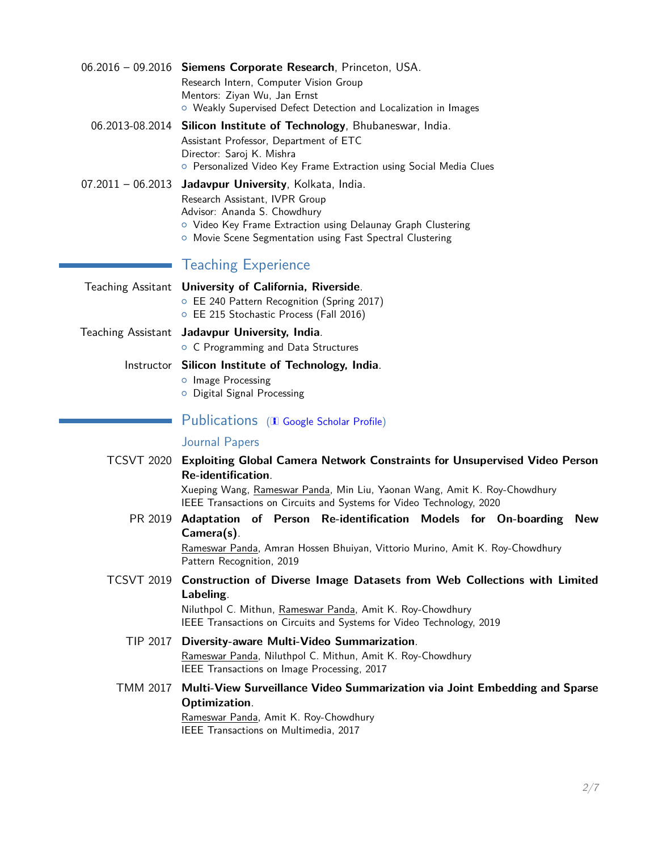| 06.2016 - 09.2016 Siemens Corporate Research, Princeton, USA.<br>Research Intern, Computer Vision Group<br>Mentors: Ziyan Wu, Jan Ernst<br>O Weakly Supervised Defect Detection and Localization in Images                                            |
|-------------------------------------------------------------------------------------------------------------------------------------------------------------------------------------------------------------------------------------------------------|
| 06.2013-08.2014 Silicon Institute of Technology, Bhubaneswar, India.<br>Assistant Professor, Department of ETC<br>Director: Saroj K. Mishra<br>o Personalized Video Key Frame Extraction using Social Media Clues                                     |
| 07.2011 - 06.2013 Jadavpur University, Kolkata, India.<br>Research Assistant, IVPR Group<br>Advisor: Ananda S. Chowdhury<br>O Video Key Frame Extraction using Delaunay Graph Clustering<br>• Movie Scene Segmentation using Fast Spectral Clustering |
| <b>Teaching Experience</b>                                                                                                                                                                                                                            |
| Teaching Assitant University of California, Riverside.<br>○ EE 240 Pattern Recognition (Spring 2017)<br>○ EE 215 Stochastic Process (Fall 2016)                                                                                                       |
| Teaching Assistant Jadavpur University, India.<br>O C Programming and Data Structures                                                                                                                                                                 |
| Instructor Silicon Institute of Technology, India.<br>o Image Processing<br>O Digital Signal Processing                                                                                                                                               |
| Publications (I Google Scholar Profile)                                                                                                                                                                                                               |
| <b>Journal Papers</b>                                                                                                                                                                                                                                 |
| TCSVT 2020 Exploiting Global Camera Network Constraints for Unsupervised Video Person<br>Re-identification.                                                                                                                                           |

Xueping Wang, Rameswar Panda, Min Liu, Yaonan Wang, Amit K. Roy-Chowdhury IEEE Transactions on Circuits and Systems for Video Technology, 2020

PR 2019 **Adaptation of Person Re-identification Models for On-boarding New Camera(s)**.

> Rameswar Panda, Amran Hossen Bhuiyan, Vittorio Murino, Amit K. Roy-Chowdhury Pattern Recognition, 2019

TCSVT 2019 **Construction of Diverse Image Datasets from Web Collections with Limited Labeling**.

Niluthpol C. Mithun, Rameswar Panda, Amit K. Roy-Chowdhury IEEE Transactions on Circuits and Systems for Video Technology, 2019

- TIP 2017 **Diversity-aware Multi-Video Summarization**. Rameswar Panda, Niluthpol C. Mithun, Amit K. Roy-Chowdhury IEEE Transactions on Image Processing, 2017
- TMM 2017 **Multi-View Surveillance Video Summarization via Joint Embedding and Sparse Optimization**. Rameswar Panda, Amit K. Roy-Chowdhury

IEEE Transactions on Multimedia, 2017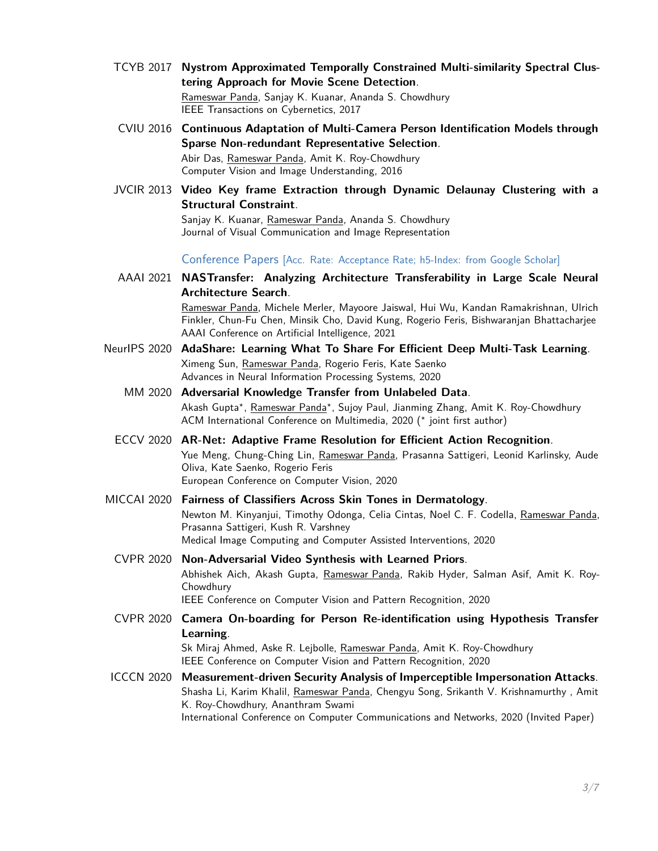- TCYB 2017 **Nystrom Approximated Temporally Constrained Multi-similarity Spectral Clustering Approach for Movie Scene Detection**. Rameswar Panda, Sanjay K. Kuanar, Ananda S. Chowdhury IEEE Transactions on Cybernetics, 2017
- CVIU 2016 **Continuous Adaptation of Multi-Camera Person Identification Models through Sparse Non-redundant Representative Selection**. Abir Das, Rameswar Panda, Amit K. Roy-Chowdhury Computer Vision and Image Understanding, 2016
- JVCIR 2013 **Video Key frame Extraction through Dynamic Delaunay Clustering with a Structural Constraint**.

Sanjay K. Kuanar, Rameswar Panda, Ananda S. Chowdhury Journal of Visual Communication and Image Representation

Conference Papers [Acc. Rate: Acceptance Rate; h5-Index: from Google Scholar]

- AAAI 2021 **NASTransfer: Analyzing Architecture Transferability in Large Scale Neural Architecture Search**. Rameswar Panda, Michele Merler, Mayoore Jaiswal, Hui Wu, Kandan Ramakrishnan, Ulrich Finkler, Chun-Fu Chen, Minsik Cho, David Kung, Rogerio Feris, Bishwaranjan Bhattacharjee AAAI Conference on Artificial Intelligence, 2021
- NeurIPS 2020 **AdaShare: Learning What To Share For Efficient Deep Multi-Task Learning**. Ximeng Sun, Rameswar Panda, Rogerio Feris, Kate Saenko Advances in Neural Information Processing Systems, 2020
	- MM 2020 **Adversarial Knowledge Transfer from Unlabeled Data**. Akash Gupta\*, Rameswar Panda\*, Sujoy Paul, Jianming Zhang, Amit K. Roy-Chowdhury ACM International Conference on Multimedia, 2020 (*?* joint first author)
	- ECCV 2020 **AR-Net: Adaptive Frame Resolution for Efficient Action Recognition**. Yue Meng, Chung-Ching Lin, Rameswar Panda, Prasanna Sattigeri, Leonid Karlinsky, Aude Oliva, Kate Saenko, Rogerio Feris European Conference on Computer Vision, 2020
- MICCAI 2020 **Fairness of Classifiers Across Skin Tones in Dermatology**. Newton M. Kinyanjui, Timothy Odonga, Celia Cintas, Noel C. F. Codella, Rameswar Panda, Prasanna Sattigeri, Kush R. Varshney Medical Image Computing and Computer Assisted Interventions, 2020
	- CVPR 2020 **Non-Adversarial Video Synthesis with Learned Priors**. Abhishek Aich, Akash Gupta, Rameswar Panda, Rakib Hyder, Salman Asif, Amit K. Roy-Chowdhury IEEE Conference on Computer Vision and Pattern Recognition, 2020
	- CVPR 2020 **Camera On-boarding for Person Re-identification using Hypothesis Transfer Learning**. Sk Miraj Ahmed, Aske R. Lejbolle, Rameswar Panda, Amit K. Roy-Chowdhury IEEE Conference on Computer Vision and Pattern Recognition, 2020
- ICCCN 2020 **Measurement-driven Security Analysis of Imperceptible Impersonation Attacks**. Shasha Li, Karim Khalil, Rameswar Panda, Chengyu Song, Srikanth V. Krishnamurthy, Amit K. Roy-Chowdhury, Ananthram Swami International Conference on Computer Communications and Networks, 2020 (Invited Paper)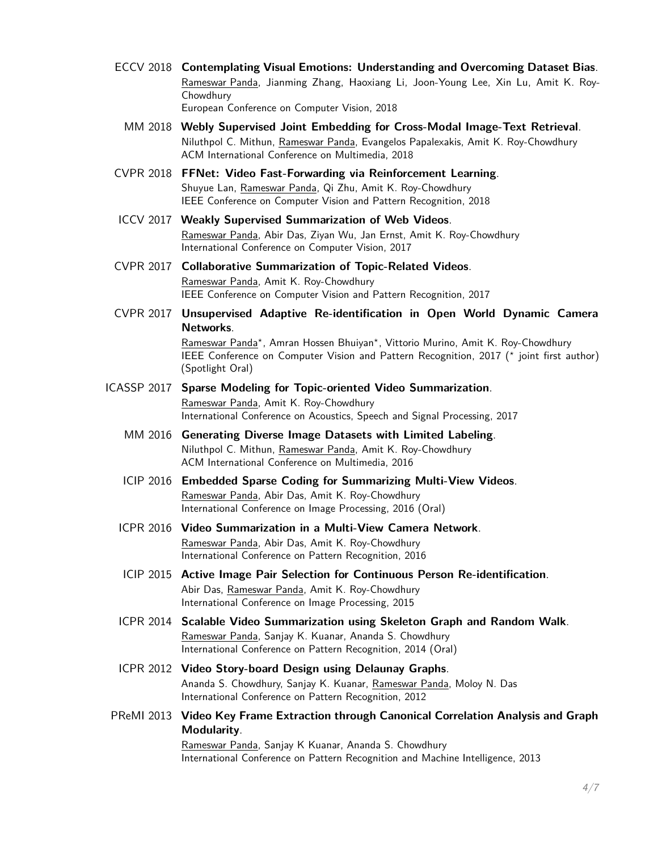- ECCV 2018 **Contemplating Visual Emotions: Understanding and Overcoming Dataset Bias**. Rameswar Panda, Jianming Zhang, Haoxiang Li, Joon-Young Lee, Xin Lu, Amit K. Roy-Chowdhury European Conference on Computer Vision, 2018
	- MM 2018 **Webly Supervised Joint Embedding for Cross-Modal Image-Text Retrieval**. Niluthpol C. Mithun, Rameswar Panda, Evangelos Papalexakis, Amit K. Roy-Chowdhury ACM International Conference on Multimedia, 2018
- CVPR 2018 **FFNet: Video Fast-Forwarding via Reinforcement Learning**. Shuyue Lan, Rameswar Panda, Qi Zhu, Amit K. Roy-Chowdhury IEEE Conference on Computer Vision and Pattern Recognition, 2018
- ICCV 2017 **Weakly Supervised Summarization of Web Videos**. Rameswar Panda, Abir Das, Ziyan Wu, Jan Ernst, Amit K. Roy-Chowdhury International Conference on Computer Vision, 2017
- CVPR 2017 **Collaborative Summarization of Topic-Related Videos**. Rameswar Panda, Amit K. Roy-Chowdhury IEEE Conference on Computer Vision and Pattern Recognition, 2017
- CVPR 2017 **Unsupervised Adaptive Re-identification in Open World Dynamic Camera Networks**. Rameswar Panda*?* , Amran Hossen Bhuiyan*?* , Vittorio Murino, Amit K. Roy-Chowdhury IEEE Conference on Computer Vision and Pattern Recognition, 2017 (\* joint first author) (Spotlight Oral)
- ICASSP 2017 **Sparse Modeling for Topic-oriented Video Summarization**. Rameswar Panda, Amit K. Roy-Chowdhury International Conference on Acoustics, Speech and Signal Processing, 2017
	- MM 2016 **Generating Diverse Image Datasets with Limited Labeling**. Niluthpol C. Mithun, Rameswar Panda, Amit K. Roy-Chowdhury ACM International Conference on Multimedia, 2016
	- ICIP 2016 **Embedded Sparse Coding for Summarizing Multi-View Videos**. Rameswar Panda, Abir Das, Amit K. Roy-Chowdhury International Conference on Image Processing, 2016 (Oral)
	- ICPR 2016 **Video Summarization in a Multi-View Camera Network**. Rameswar Panda, Abir Das, Amit K. Roy-Chowdhury International Conference on Pattern Recognition, 2016
	- ICIP 2015 **Active Image Pair Selection for Continuous Person Re-identification**. Abir Das, Rameswar Panda, Amit K. Roy-Chowdhury International Conference on Image Processing, 2015
	- ICPR 2014 **Scalable Video Summarization using Skeleton Graph and Random Walk**. Rameswar Panda, Sanjay K. Kuanar, Ananda S. Chowdhury International Conference on Pattern Recognition, 2014 (Oral)
	- ICPR 2012 **Video Story-board Design using Delaunay Graphs**. Ananda S. Chowdhury, Sanjay K. Kuanar, Rameswar Panda, Moloy N. Das International Conference on Pattern Recognition, 2012
- PReMI 2013 **Video Key Frame Extraction through Canonical Correlation Analysis and Graph Modularity**. Rameswar Panda, Sanjay K Kuanar, Ananda S. Chowdhury

International Conference on Pattern Recognition and Machine Intelligence, 2013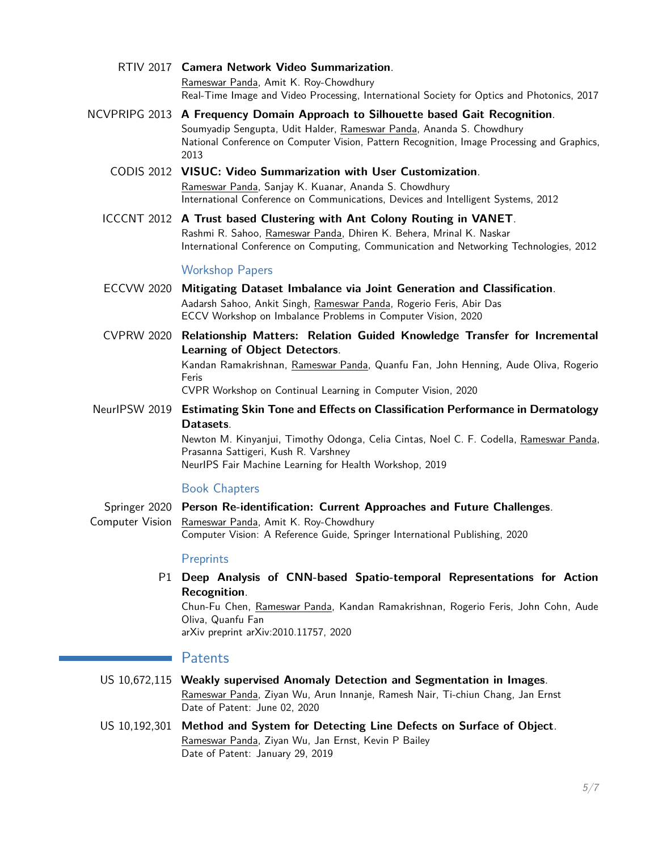- RTIV 2017 **Camera Network Video Summarization**. Rameswar Panda, Amit K. Roy-Chowdhury Real-Time Image and Video Processing, International Society for Optics and Photonics, 2017
- NCVPRIPG 2013 **A Frequency Domain Approach to Silhouette based Gait Recognition**. Soumyadip Sengupta, Udit Halder, Rameswar Panda, Ananda S. Chowdhury National Conference on Computer Vision, Pattern Recognition, Image Processing and Graphics, 2013
	- CODIS 2012 **VISUC: Video Summarization with User Customization**. Rameswar Panda, Sanjay K. Kuanar, Ananda S. Chowdhury International Conference on Communications, Devices and Intelligent Systems, 2012
	- ICCCNT 2012 **A Trust based Clustering with Ant Colony Routing in VANET**. Rashmi R. Sahoo, Rameswar Panda, Dhiren K. Behera, Mrinal K. Naskar International Conference on Computing, Communication and Networking Technologies, 2012

#### Workshop Papers

- ECCVW 2020 **Mitigating Dataset Imbalance via Joint Generation and Classification**. Aadarsh Sahoo, Ankit Singh, Rameswar Panda, Rogerio Feris, Abir Das ECCV Workshop on Imbalance Problems in Computer Vision, 2020
- CVPRW 2020 **Relationship Matters: Relation Guided Knowledge Transfer for Incremental Learning of Object Detectors**. Kandan Ramakrishnan, Rameswar Panda, Quanfu Fan, John Henning, Aude Oliva, Rogerio Feris

CVPR Workshop on Continual Learning in Computer Vision, 2020

NeurIPSW 2019 **Estimating Skin Tone and Effects on Classification Performance in Dermatology Datasets**.

> Newton M. Kinyanjui, Timothy Odonga, Celia Cintas, Noel C. F. Codella, Rameswar Panda, Prasanna Sattigeri, Kush R. Varshney NeurIPS Fair Machine Learning for Health Workshop, 2019

#### Book Chapters

Springer 2020 **Person Re-identification: Current Approaches and Future Challenges**. Computer Vision Rameswar Panda, Amit K. Roy-Chowdhury Computer Vision: A Reference Guide, Springer International Publishing, 2020

#### **Preprints**

P1 **Deep Analysis of CNN-based Spatio-temporal Representations for Action Recognition**.

Chun-Fu Chen, Rameswar Panda, Kandan Ramakrishnan, Rogerio Feris, John Cohn, Aude Oliva, Quanfu Fan

arXiv preprint arXiv:2010.11757, 2020

#### Patents

- US 10,672,115 **Weakly supervised Anomaly Detection and Segmentation in Images**. Rameswar Panda, Ziyan Wu, Arun Innanje, Ramesh Nair, Ti-chiun Chang, Jan Ernst Date of Patent: June 02, 2020
- US 10,192,301 **Method and System for Detecting Line Defects on Surface of Object**. Rameswar Panda, Ziyan Wu, Jan Ernst, Kevin P Bailey Date of Patent: January 29, 2019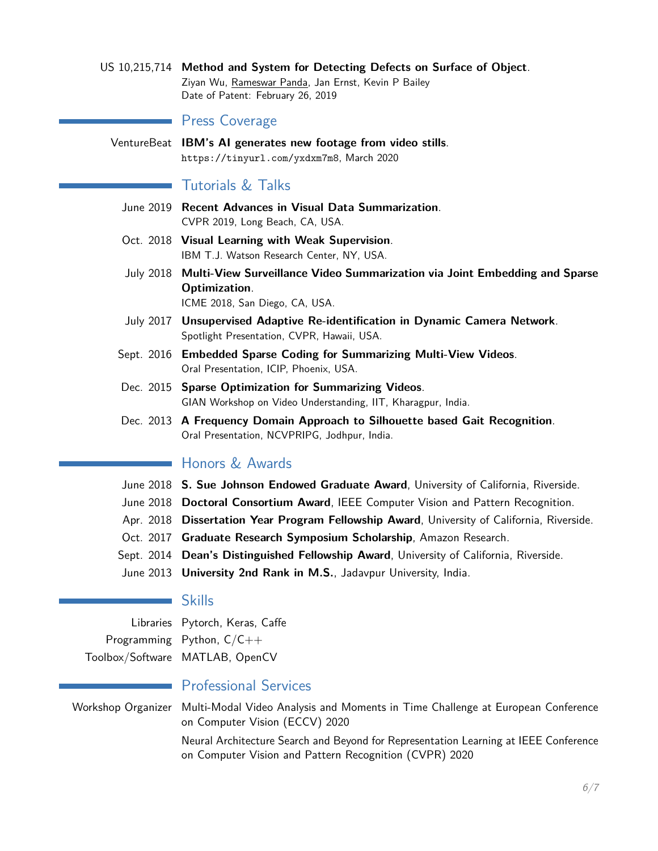US 10,215,714 **Method and System for Detecting Defects on Surface of Object**. Ziyan Wu, Rameswar Panda, Jan Ernst, Kevin P Bailey Date of Patent: February 26, 2019

#### Press Coverage

VentureBeat **IBM's AI generates new footage from video stills**. <https://tinyurl.com/yxdxm7m8>, March 2020

#### Tutorials & Talks

- June 2019 **Recent Advances in Visual Data Summarization**. CVPR 2019, Long Beach, CA, USA.
- Oct. 2018 **Visual Learning with Weak Supervision**. IBM T.J. Watson Research Center, NY, USA.
- July 2018 **Multi-View Surveillance Video Summarization via Joint Embedding and Sparse Optimization**. ICME 2018, San Diego, CA, USA.
- July 2017 **Unsupervised Adaptive Re-identification in Dynamic Camera Network**. Spotlight Presentation, CVPR, Hawaii, USA.
- Sept. 2016 **Embedded Sparse Coding for Summarizing Multi-View Videos**. Oral Presentation, ICIP, Phoenix, USA.
- Dec. 2015 **Sparse Optimization for Summarizing Videos**. GIAN Workshop on Video Understanding, IIT, Kharagpur, India.
- Dec. 2013 **A Frequency Domain Approach to Silhouette based Gait Recognition**. Oral Presentation, NCVPRIPG, Jodhpur, India.

## **Honors & Awards**

- June 2018 **S. Sue Johnson Endowed Graduate Award**, University of California, Riverside.
- June 2018 **Doctoral Consortium Award**, IEEE Computer Vision and Pattern Recognition.
- Apr. 2018 **Dissertation Year Program Fellowship Award**, University of California, Riverside.
- Oct. 2017 **Graduate Research Symposium Scholarship**, Amazon Research.
- Sept. 2014 **Dean's Distinguished Fellowship Award**, University of California, Riverside.
- June 2013 **University 2nd Rank in M.S.**, Jadavpur University, India.

#### **Skills**

Libraries Pytorch, Keras, Caffe Programming Python, C/C++ Toolbox/Software MATLAB, OpenCV

#### **Professional Services**

Workshop Organizer Multi-Modal Video Analysis and Moments in Time Challenge at European Conference on Computer Vision (ECCV) 2020

> Neural Architecture Search and Beyond for Representation Learning at IEEE Conference on Computer Vision and Pattern Recognition (CVPR) 2020